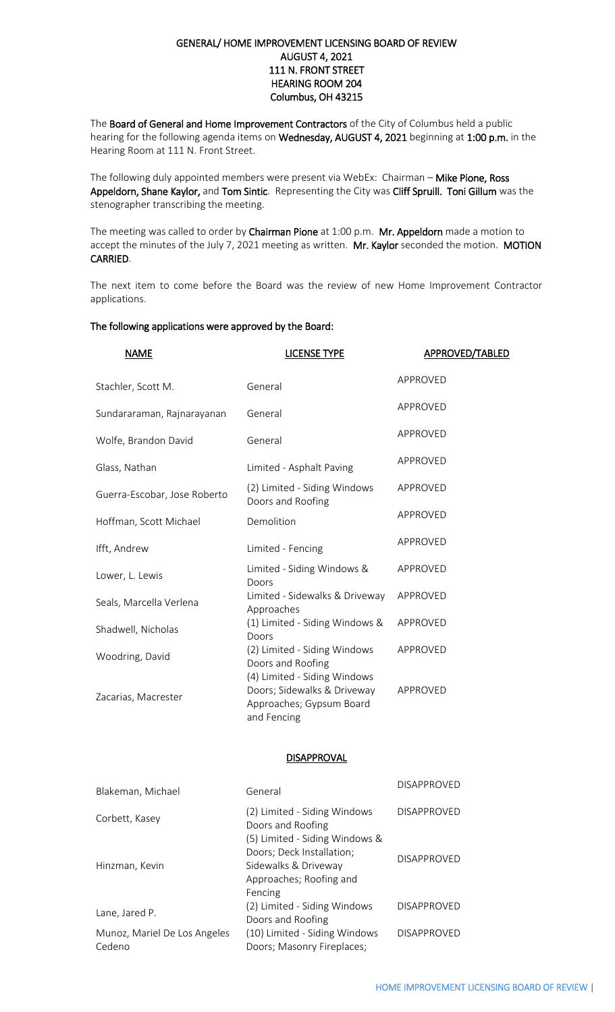## GENERAL/ HOME IMPROVEMENT LICENSING BOARD OF REVIEW AUGUST 4, 2021 111 N. FRONT STREET HEARING ROOM 204 Columbus, OH 43215

The Board of General and Home Improvement Contractors of the City of Columbus held a public hearing for the following agenda items on Wednesday, AUGUST 4, 2021 beginning at 1:00 p.m. in the Hearing Room at 111 N. Front Street.

The following duly appointed members were present via WebEx: Chairman - Mike Pione, Ross Appeldorn, Shane Kaylor, and Tom Sintic. Representing the City was Cliff Spruill. Toni Gillum was the stenographer transcribing the meeting.

The meeting was called to order by Chairman Pione at 1:00 p.m. Mr. Appeldorn made a motion to accept the minutes of the July 7, 2021 meeting as written. Mr. Kaylor seconded the motion. MOTION CARRIED.

The next item to come before the Board was the review of new Home Improvement Contractor applications.

## The following applications were approved by the Board:

| <b>NAME</b>                  | <b>LICENSE TYPE</b>                                                                                    | APPROVED/TABLED |
|------------------------------|--------------------------------------------------------------------------------------------------------|-----------------|
| Stachler, Scott M.           | General                                                                                                | APPROVED        |
| Sundararaman, Rajnarayanan   | General                                                                                                | APPROVED        |
| Wolfe, Brandon David         | General                                                                                                | APPROVED        |
| Glass, Nathan                | Limited - Asphalt Paving                                                                               | APPROVED        |
| Guerra-Escobar, Jose Roberto | (2) Limited - Siding Windows<br>Doors and Roofing                                                      | APPROVED        |
| Hoffman, Scott Michael       | Demolition                                                                                             | APPROVED        |
| Ifft, Andrew                 | Limited - Fencing                                                                                      | APPROVED        |
| Lower, L. Lewis              | Limited - Siding Windows &<br>Doors                                                                    | APPROVED        |
| Seals, Marcella Verlena      | Limited - Sidewalks & Driveway<br>Approaches                                                           | APPROVED        |
| Shadwell, Nicholas           | (1) Limited - Siding Windows &<br>Doors                                                                | APPROVED        |
| Woodring, David              | (2) Limited - Siding Windows<br>Doors and Roofing                                                      | APPROVED        |
| Zacarias, Macrester          | (4) Limited - Siding Windows<br>Doors; Sidewalks & Driveway<br>Approaches; Gypsum Board<br>and Fencing | APPROVED        |

## **DISAPPROVAL**

| Blakeman, Michael                      | General                                                                                                                   | <b>DISAPPROVED</b> |
|----------------------------------------|---------------------------------------------------------------------------------------------------------------------------|--------------------|
| Corbett, Kasey                         | (2) Limited - Siding Windows<br>Doors and Roofing                                                                         | <b>DISAPPROVED</b> |
| Hinzman, Kevin                         | (5) Limited - Siding Windows &<br>Doors; Deck Installation;<br>Sidewalks & Driveway<br>Approaches; Roofing and<br>Fencing | <b>DISAPPROVED</b> |
| Lane, Jared P.                         | (2) Limited - Siding Windows<br>Doors and Roofing                                                                         | <b>DISAPPROVED</b> |
| Munoz, Mariel De Los Angeles<br>Cedeno | (10) Limited - Siding Windows<br>Doors; Masonry Fireplaces;                                                               | <b>DISAPPROVED</b> |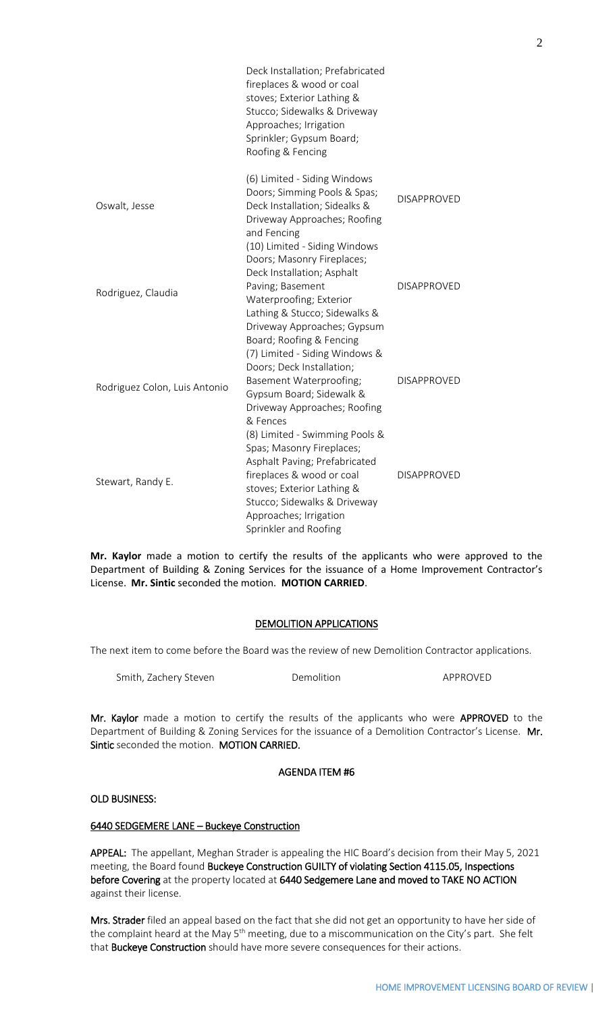|                               | Deck Installation; Prefabricated<br>fireplaces & wood or coal<br>stoves; Exterior Lathing &<br>Stucco; Sidewalks & Driveway<br>Approaches; Irrigation<br>Sprinkler; Gypsum Board;<br>Roofing & Fencing                                     |                    |
|-------------------------------|--------------------------------------------------------------------------------------------------------------------------------------------------------------------------------------------------------------------------------------------|--------------------|
| Oswalt, Jesse                 | (6) Limited - Siding Windows<br>Doors; Simming Pools & Spas;<br>Deck Installation; Sidealks &<br>Driveway Approaches; Roofing<br>and Fencing                                                                                               | <b>DISAPPROVED</b> |
| Rodriguez, Claudia            | (10) Limited - Siding Windows<br>Doors; Masonry Fireplaces;<br>Deck Installation; Asphalt<br>Paving; Basement<br>Waterproofing; Exterior<br>Lathing & Stucco; Sidewalks &<br>Driveway Approaches; Gypsum<br>Board; Roofing & Fencing       | <b>DISAPPROVED</b> |
| Rodriguez Colon, Luis Antonio | (7) Limited - Siding Windows &<br>Doors; Deck Installation;<br>Basement Waterproofing;<br>Gypsum Board; Sidewalk &<br>Driveway Approaches; Roofing<br>& Fences                                                                             | <b>DISAPPROVED</b> |
| Stewart, Randy E.             | (8) Limited - Swimming Pools &<br>Spas; Masonry Fireplaces;<br>Asphalt Paving; Prefabricated<br>fireplaces & wood or coal<br>stoves; Exterior Lathing &<br>Stucco; Sidewalks & Driveway<br>Approaches; Irrigation<br>Sprinkler and Roofing | <b>DISAPPROVED</b> |

**Mr. Kaylor** made a motion to certify the results of the applicants who were approved to the Department of Building & Zoning Services for the issuance of a Home Improvement Contractor's License. **Mr. Sintic** seconded the motion. **MOTION CARRIED**.

# DEMOLITION APPLICATIONS

The next item to come before the Board was the review of new Demolition Contractor applications.

| Smith, Zachery Steven | Demolition | APPROVED |
|-----------------------|------------|----------|
|-----------------------|------------|----------|

Mr. Kaylor made a motion to certify the results of the applicants who were APPROVED to the Department of Building & Zoning Services for the issuance of a Demolition Contractor's License. Mr. Sintic seconded the motion. MOTION CARRIED.

## AGENDA ITEM #6

## OLD BUSINESS:

## 6440 SEDGEMERE LANE – Buckeye Construction

APPEAL: The appellant, Meghan Strader is appealing the HIC Board's decision from their May 5, 2021 meeting, the Board found Buckeye Construction GUILTY of violating Section 4115.05, Inspections before Covering at the property located at 6440 Sedgemere Lane and moved to TAKE NO ACTION against their license.

Mrs. Strader filed an appeal based on the fact that she did not get an opportunity to have her side of the complaint heard at the May 5<sup>th</sup> meeting, due to a miscommunication on the City's part. She felt that Buckeye Construction should have more severe consequences for their actions.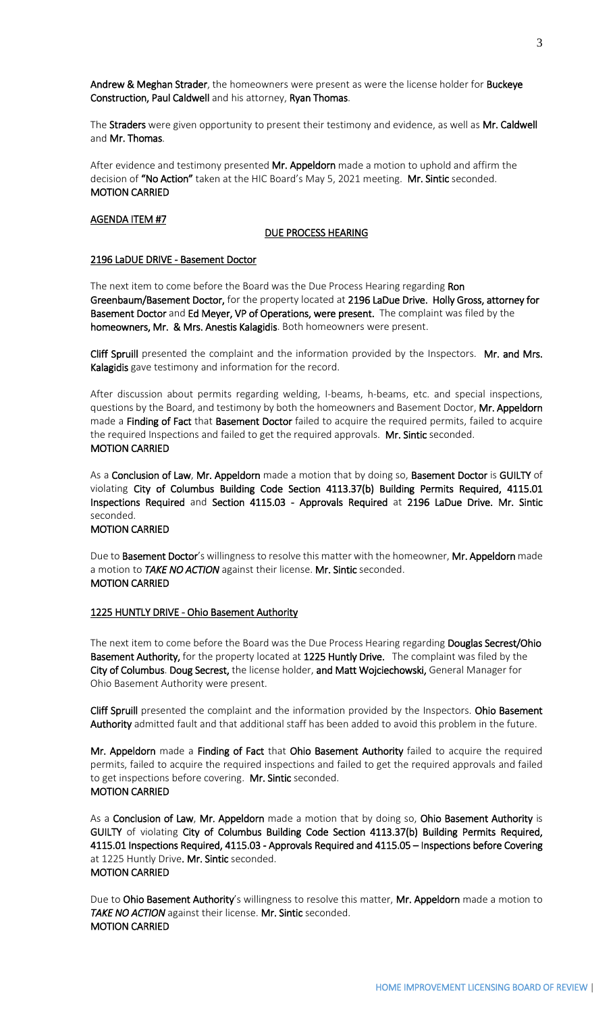Andrew & Meghan Strader, the homeowners were present as were the license holder for Buckeye Construction, Paul Caldwell and his attorney, Ryan Thomas.

The Straders were given opportunity to present their testimony and evidence, as well as Mr. Caldwell and Mr. Thomas.

After evidence and testimony presented Mr. Appeldorn made a motion to uphold and affirm the decision of "No Action" taken at the HIC Board's May 5, 2021 meeting. Mr. Sintic seconded. MOTION CARRIED

#### AGENDA ITEM #7

#### DUE PROCESS HEARING

#### 2196 LaDUE DRIVE - Basement Doctor

The next item to come before the Board was the Due Process Hearing regarding Ron Greenbaum/Basement Doctor, for the property located at 2196 LaDue Drive. Holly Gross, attorney for Basement Doctor and Ed Meyer, VP of Operations, were present. The complaint was filed by the homeowners, Mr. & Mrs. Anestis Kalagidis. Both homeowners were present.

Cliff Spruill presented the complaint and the information provided by the Inspectors. Mr. and Mrs. Kalagidis gave testimony and information for the record.

After discussion about permits regarding welding, I-beams, h-beams, etc. and special inspections, questions by the Board, and testimony by both the homeowners and Basement Doctor, Mr. Appeldorn made a Finding of Fact that Basement Doctor failed to acquire the required permits, failed to acquire the required Inspections and failed to get the required approvals. Mr. Sintic seconded. MOTION CARRIED

As a Conclusion of Law, Mr. Appeldorn made a motion that by doing so, Basement Doctor is GUILTY of violating City of Columbus Building Code Section 4113.37(b) Building Permits Required, 4115.01 Inspections Required and Section 4115.03 - Approvals Required at 2196 LaDue Drive. Mr. Sintic seconded. MOTION CARRIED

Due to Basement Doctor's willingness to resolve this matter with the homeowner, Mr. Appeldorn made a motion to *TAKE NO ACTION* against their license. Mr. Sintic seconded.

#### MOTION CARRIED

#### 1225 HUNTLY DRIVE - Ohio Basement Authority

The next item to come before the Board was the Due Process Hearing regarding Douglas Secrest/Ohio Basement Authority, for the property located at 1225 Huntly Drive. The complaint was filed by the City of Columbus. Doug Secrest, the license holder, and Matt Wojciechowski, General Manager for Ohio Basement Authority were present.

Cliff Spruill presented the complaint and the information provided by the Inspectors. Ohio Basement Authority admitted fault and that additional staff has been added to avoid this problem in the future.

Mr. Appeldorn made a Finding of Fact that Ohio Basement Authority failed to acquire the required permits, failed to acquire the required inspections and failed to get the required approvals and failed to get inspections before covering. Mr. Sintic seconded. MOTION CARRIED

As a Conclusion of Law, Mr. Appeldorn made a motion that by doing so, Ohio Basement Authority is GUILTY of violating City of Columbus Building Code Section 4113.37(b) Building Permits Required, 4115.01 Inspections Required, 4115.03 - Approvals Required and 4115.05 – Inspections before Covering at 1225 Huntly Drive. Mr. Sintic seconded. MOTION CARRIED

Due to Ohio Basement Authority's willingness to resolve this matter, Mr. Appeldorn made a motion to *TAKE NO ACTION* against their license. Mr. Sintic seconded. MOTION CARRIED